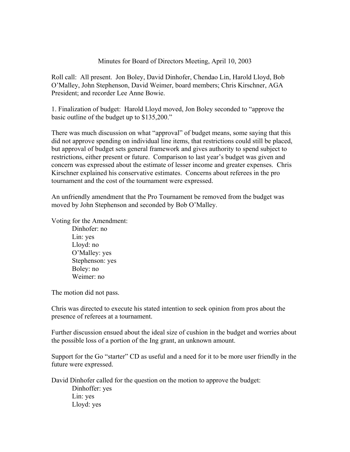## Minutes for Board of Directors Meeting, April 10, 2003

Roll call: All present. Jon Boley, David Dinhofer, Chendao Lin, Harold Lloyd, Bob O'Malley, John Stephenson, David Weimer, board members; Chris Kirschner, AGA President; and recorder Lee Anne Bowie.

1. Finalization of budget: Harold Lloyd moved, Jon Boley seconded to "approve the basic outline of the budget up to \$135,200."

There was much discussion on what "approval" of budget means, some saying that this did not approve spending on individual line items, that restrictions could still be placed, but approval of budget sets general framework and gives authority to spend subject to restrictions, either present or future. Comparison to last year's budget was given and concern was expressed about the estimate of lesser income and greater expenses. Chris Kirschner explained his conservative estimates. Concerns about referees in the pro tournament and the cost of the tournament were expressed.

An unfriendly amendment that the Pro Tournament be removed from the budget was moved by John Stephenson and seconded by Bob O'Malley.

Voting for the Amendment:

Dinhofer: no Lin: yes Lloyd: no O'Malley: yes Stephenson: yes Boley: no Weimer: no

The motion did not pass.

Chris was directed to execute his stated intention to seek opinion from pros about the presence of referees at a tournament.

Further discussion ensued about the ideal size of cushion in the budget and worries about the possible loss of a portion of the Ing grant, an unknown amount.

Support for the Go "starter" CD as useful and a need for it to be more user friendly in the future were expressed.

David Dinhofer called for the question on the motion to approve the budget:

Dinhoffer: yes Lin: yes Lloyd: yes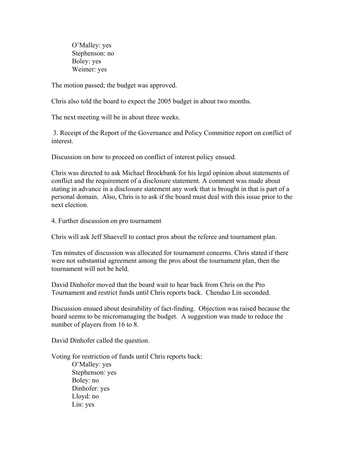O'Malley: yes Stephenson: no Boley: yes Weimer: yes

The motion passed; the budget was approved.

Chris also told the board to expect the 2005 budget in about two months.

The next meeting will be in about three weeks.

 3. Receipt of the Report of the Governance and Policy Committee report on conflict of interest.

Discussion on how to proceed on conflict of interest policy ensued.

Chris was directed to ask Michael Brockbank for his legal opinion about statements of conflict and the requirement of a disclosure statement. A comment was made about stating in advance in a disclosure statement any work that is brought in that is part of a personal domain. Also, Chris is to ask if the board must deal with this issue prior to the next election.

4. Further discussion on pro tournament

Chris will ask Jeff Shaevell to contact pros about the referee and tournament plan.

Ten minutes of discussion was allocated for tournament concerns. Chris stated if there were not substantial agreement among the pros about the tournament plan, then the tournament will not be held.

David Dinhofer moved that the board wait to hear back from Chris on the Pro Tournament and restrict funds until Chris reports back. Chendao Lin seconded.

Discussion ensued about desirability of fact-finding. Objection was raised because the board seems to be micromanaging the budget. A suggestion was made to reduce the number of players from 16 to 8.

David Dinhofer called the question.

Voting for restriction of funds until Chris reports back:

O'Malley: yes Stephenson: yes Boley: no Dinhofer: yes Lloyd: no Lin: yes